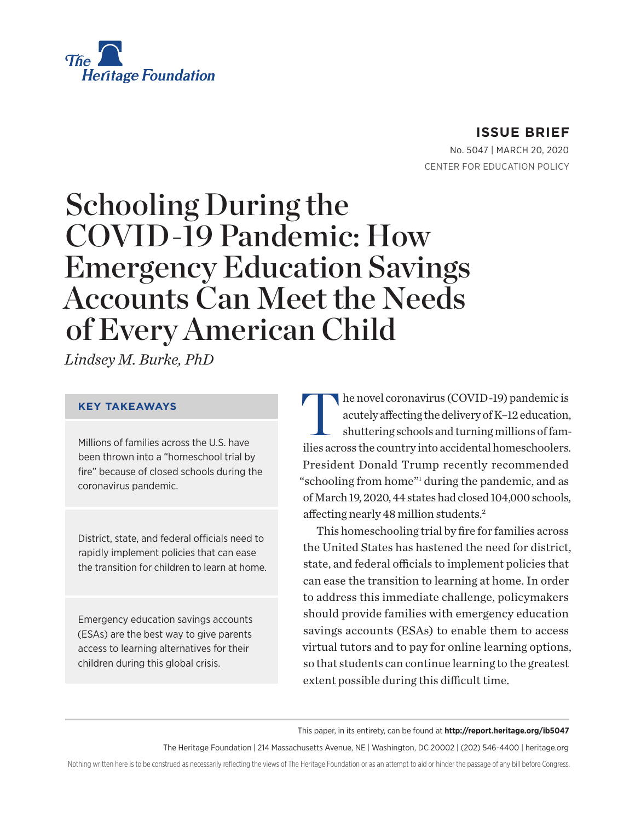

# **ISSUE BRIEF**

No. 5047 | March 20, 2020 CENTER FOR EDUCATION POLICY

# Schooling During the COVID-19 Pandemic: How Emergency Education Savings Accounts Can Meet the Needs of Every American Child

*Lindsey M. Burke, PhD*

#### **KEY TAKEAWAYS**

Millions of families across the U.S. have been thrown into a "homeschool trial by fire" because of closed schools during the coronavirus pandemic.

District, state, and federal officials need to rapidly implement policies that can ease the transition for children to learn at home.

Emergency education savings accounts (ESAs) are the best way to give parents access to learning alternatives for their children during this global crisis.

he novel coronavirus (COVID-19) pandemic is acutely affecting the delivery of K–12 education, shuttering schools and turning millions of families across the country into accidental homeschoolers. President Donald Trump recently recommended "schooling from home"<sup>1</sup> during the pandemic, and as of March 19, 2020, 44 states had closed 104,000 schools, affecting nearly 48 million students.2

This homeschooling trial by fire for families across the United States has hastened the need for district, state, and federal officials to implement policies that can ease the transition to learning at home. In order to address this immediate challenge, policymakers should provide families with emergency education savings accounts (ESAs) to enable them to access virtual tutors and to pay for online learning options, so that students can continue learning to the greatest extent possible during this difficult time.

This paper, in its entirety, can be found at **http://report.heritage.org/ib5047**

The Heritage Foundation | 214 Massachusetts Avenue, NE | Washington, DC 20002 | (202) 546-4400 | heritage.org

Nothing written here is to be construed as necessarily reflecting the views of The Heritage Foundation or as an attempt to aid or hinder the passage of any bill before Congress.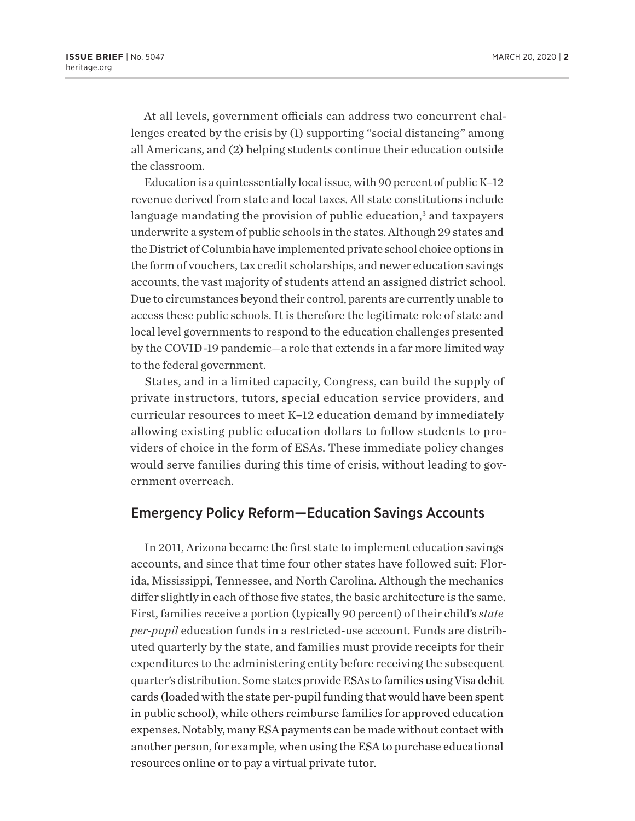At all levels, government officials can address two concurrent challenges created by the crisis by (1) supporting "social distancing" among all Americans, and (2) helping students continue their education outside the classroom.

Education is a quintessentially local issue, with 90 percent of public K–12 revenue derived from state and local taxes. All state constitutions include language mandating the provision of public education,<sup>3</sup> and taxpayers underwrite a system of public schools in the states. Although 29 states and the District of Columbia have implemented private school choice options in the form of vouchers, tax credit scholarships, and newer education savings accounts, the vast majority of students attend an assigned district school. Due to circumstances beyond their control, parents are currently unable to access these public schools. It is therefore the legitimate role of state and local level governments to respond to the education challenges presented by the COVID-19 pandemic—a role that extends in a far more limited way to the federal government.

States, and in a limited capacity, Congress, can build the supply of private instructors, tutors, special education service providers, and curricular resources to meet K–12 education demand by immediately allowing existing public education dollars to follow students to providers of choice in the form of ESAs. These immediate policy changes would serve families during this time of crisis, without leading to government overreach.

#### Emergency Policy Reform—Education Savings Accounts

In 2011, Arizona became the first state to implement education savings accounts, and since that time four other states have followed suit: Florida, Mississippi, Tennessee, and North Carolina. Although the mechanics differ slightly in each of those five states, the basic architecture is the same. First, families receive a portion (typically 90 percent) of their child's *state per-pupil* education funds in a restricted-use account. Funds are distributed quarterly by the state, and families must provide receipts for their expenditures to the administering entity before receiving the subsequent quarter's distribution. Some states provide ESAs to families using Visa debit cards (loaded with the state per-pupil funding that would have been spent in public school), while others reimburse families for approved education expenses. Notably, many ESA payments can be made without contact with another person, for example, when using the ESA to purchase educational resources online or to pay a virtual private tutor.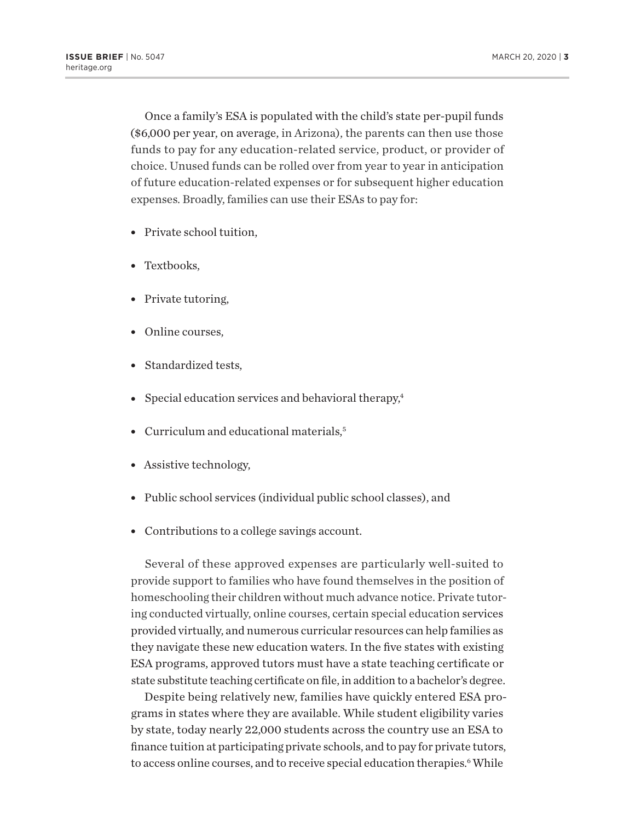Once a family's ESA is populated with the child's state per-pupil funds (\$6,000 per year, on average, in Arizona), the parents can then use those funds to pay for any education-related service, product, or provider of choice. Unused funds can be rolled over from year to year in anticipation of future education-related expenses or for subsequent higher education expenses. Broadly, families can use their ESAs to pay for:

- Private school tuition.
- Textbooks,
- Private tutoring,
- Online courses.
- Standardized tests,
- Special education services and behavioral therapy, $4$
- Curriculum and educational materials, $5$
- Assistive technology,
- Public school services (individual public school classes), and
- Contributions to a college savings account.

Several of these approved expenses are particularly well-suited to provide support to families who have found themselves in the position of homeschooling their children without much advance notice. Private tutoring conducted virtually, online courses, certain special education services provided virtually, and numerous curricular resources can help families as they navigate these new education waters. In the five states with existing ESA programs, approved tutors must have a state teaching certificate or state substitute teaching certificate on file, in addition to a bachelor's degree.

Despite being relatively new, families have quickly entered ESA programs in states where they are available. While student eligibility varies by state, today nearly 22,000 students across the country use an ESA to finance tuition at participating private schools, and to pay for private tutors, to access online courses, and to receive special education therapies.<sup>6</sup> While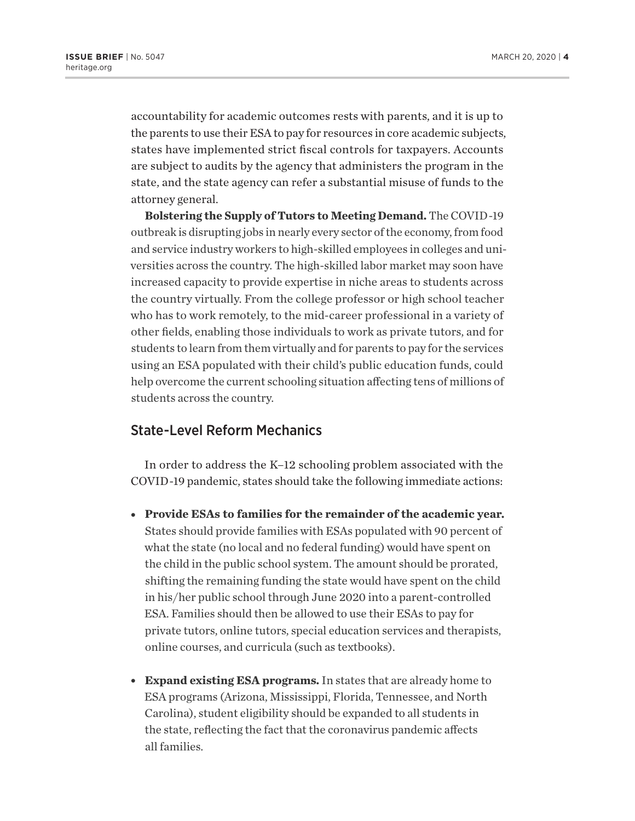accountability for academic outcomes rests with parents, and it is up to the parents to use their ESA to pay for resources in core academic subjects, states have implemented strict fiscal controls for taxpayers. Accounts are subject to audits by the agency that administers the program in the state, and the state agency can refer a substantial misuse of funds to the attorney general.

**Bolstering the Supply of Tutors to Meeting Demand.** The COVID-19 outbreak is disrupting jobs in nearly every sector of the economy, from food and service industry workers to high-skilled employees in colleges and universities across the country. The high-skilled labor market may soon have increased capacity to provide expertise in niche areas to students across the country virtually. From the college professor or high school teacher who has to work remotely, to the mid-career professional in a variety of other fields, enabling those individuals to work as private tutors, and for students to learn from them virtually and for parents to pay for the services using an ESA populated with their child's public education funds, could help overcome the current schooling situation affecting tens of millions of students across the country.

#### State-Level Reform Mechanics

In order to address the K–12 schooling problem associated with the COVID-19 pandemic, states should take the following immediate actions:

- **Provide ESAs to families for the remainder of the academic year.** States should provide families with ESAs populated with 90 percent of what the state (no local and no federal funding) would have spent on the child in the public school system. The amount should be prorated, shifting the remaining funding the state would have spent on the child in his/her public school through June 2020 into a parent-controlled ESA. Families should then be allowed to use their ESAs to pay for private tutors, online tutors, special education services and therapists, online courses, and curricula (such as textbooks).
- **Expand existing ESA programs.** In states that are already home to ESA programs (Arizona, Mississippi, Florida, Tennessee, and North Carolina), student eligibility should be expanded to all students in the state, reflecting the fact that the coronavirus pandemic affects all families.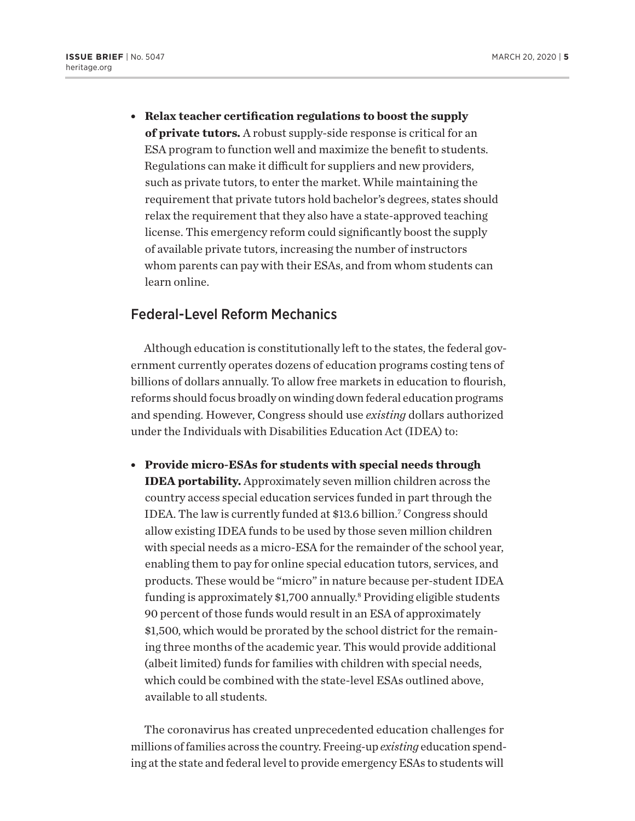<sup>l</sup> **Relax teacher certification regulations to boost the supply of private tutors.** A robust supply-side response is critical for an ESA program to function well and maximize the benefit to students. Regulations can make it difficult for suppliers and new providers, such as private tutors, to enter the market. While maintaining the requirement that private tutors hold bachelor's degrees, states should relax the requirement that they also have a state-approved teaching license. This emergency reform could significantly boost the supply of available private tutors, increasing the number of instructors whom parents can pay with their ESAs, and from whom students can learn online.

### Federal-Level Reform Mechanics

Although education is constitutionally left to the states, the federal government currently operates dozens of education programs costing tens of billions of dollars annually. To allow free markets in education to flourish, reforms should focus broadly on winding down federal education programs and spending. However, Congress should use *existing* dollars authorized under the Individuals with Disabilities Education Act (IDEA) to:

**• Provide micro-ESAs for students with special needs through IDEA portability.** Approximately seven million children across the country access special education services funded in part through the IDEA. The law is currently funded at \$13.6 billion.7 Congress should allow existing IDEA funds to be used by those seven million children with special needs as a micro-ESA for the remainder of the school year, enabling them to pay for online special education tutors, services, and products. These would be "micro" in nature because per-student IDEA funding is approximately \$1,700 annually.<sup>8</sup> Providing eligible students 90 percent of those funds would result in an ESA of approximately \$1,500, which would be prorated by the school district for the remaining three months of the academic year. This would provide additional (albeit limited) funds for families with children with special needs, which could be combined with the state-level ESAs outlined above, available to all students.

The coronavirus has created unprecedented education challenges for millions of families across the country. Freeing-up *existing* education spending at the state and federal level to provide emergency ESAs to students will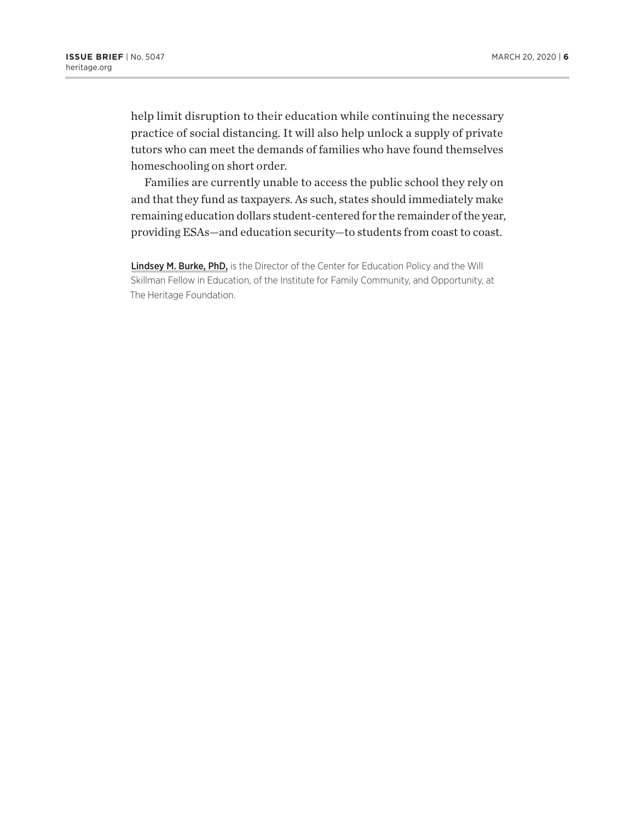help limit disruption to their education while continuing the necessary practice of social distancing. It will also help unlock a supply of private tutors who can meet the demands of families who have found themselves homeschooling on short order.

Families are currently unable to access the public school they rely on and that they fund as taxpayers. As such, states should immediately make remaining education dollars student-centered for the remainder of the year, providing ESAs—and education security—to students from coast to coast.

Lindsey M. Burke, PhD, is the Director of the Center for Education Policy and the Will Skillman Fellow in Education, of the Institute for Family Community, and Opportunity, at The Heritage Foundation.